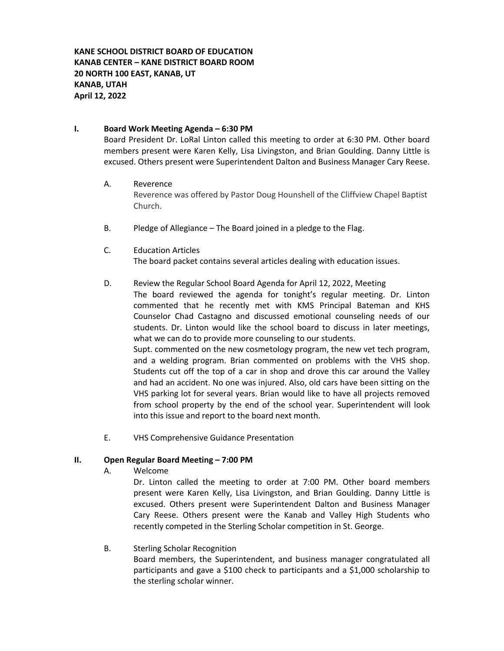### **I. Board Work Meeting Agenda – 6:30 PM**

Board President Dr. LoRal Linton called this meeting to order at 6:30 PM. Other board members present were Karen Kelly, Lisa Livingston, and Brian Goulding. Danny Little is excused. Others present were Superintendent Dalton and Business Manager Cary Reese.

### A. Reverence

Reverence was offered by Pastor Doug Hounshell of the Cliffview Chapel Baptist Church.

- B. Pledge of Allegiance The Board joined in a pledge to the Flag.
- C. Education Articles The board packet contains several articles dealing with education issues.

### D. Review the Regular School Board Agenda for April 12, 2022, Meeting

The board reviewed the agenda for tonight's regular meeting. Dr. Linton commented that he recently met with KMS Principal Bateman and KHS Counselor Chad Castagno and discussed emotional counseling needs of our students. Dr. Linton would like the school board to discuss in later meetings, what we can do to provide more counseling to our students.

Supt. commented on the new cosmetology program, the new vet tech program, and a welding program. Brian commented on problems with the VHS shop. Students cut off the top of a car in shop and drove this car around the Valley and had an accident. No one was injured. Also, old cars have been sitting on the VHS parking lot for several years. Brian would like to have all projects removed from school property by the end of the school year. Superintendent will look into this issue and report to the board next month.

E. VHS Comprehensive Guidance Presentation

### **II. Open Regular Board Meeting – 7:00 PM**

A. Welcome

Dr. Linton called the meeting to order at 7:00 PM. Other board members present were Karen Kelly, Lisa Livingston, and Brian Goulding. Danny Little is excused. Others present were Superintendent Dalton and Business Manager Cary Reese. Others present were the Kanab and Valley High Students who recently competed in the Sterling Scholar competition in St. George.

### B. Sterling Scholar Recognition

Board members, the Superintendent, and business manager congratulated all participants and gave a \$100 check to participants and a \$1,000 scholarship to the sterling scholar winner.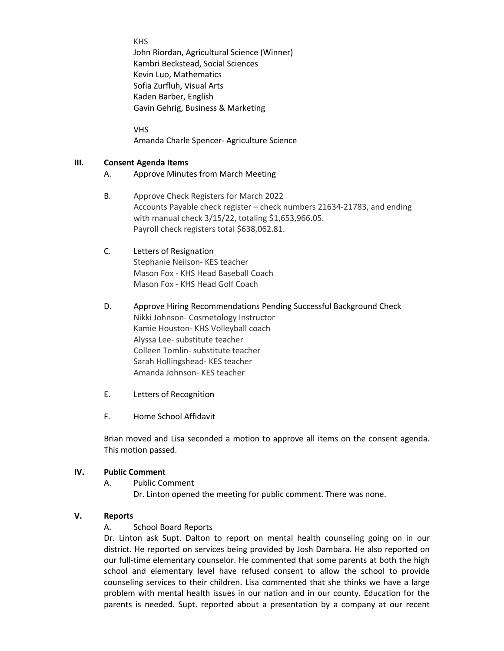KHS

John Riordan, Agricultural Science (Winner) Kambri Beckstead, Social Sciences Kevin Luo, Mathematics Sofia Zurfluh, Visual Arts Kaden Barber, English Gavin Gehrig, Business & Marketing

VHS Amanda Charle Spencer- Agriculture Science

### **III. Consent Agenda Items**

- A. Approve Minutes from March Meeting
- B. Approve Check Registers for March 2022 Accounts Payable check register – check numbers 21634-21783, and ending with manual check 3/15/22, totaling \$1,653,966.05. Payroll check registers total \$638,062.81.

### C. Letters of Resignation Stephanie Neilson- KES teacher Mason Fox - KHS Head Baseball Coach Mason Fox - KHS Head Golf Coach

- D. Approve Hiring Recommendations Pending Successful Background Check Nikki Johnson- Cosmetology Instructor Kamie Houston- KHS Volleyball coach Alyssa Lee- substitute teacher Colleen Tomlin- substitute teacher Sarah Hollingshead- KES teacher Amanda Johnson- KES teacher
- E. Letters of Recognition
- F. Home School Affidavit

Brian moved and Lisa seconded a motion to approve all items on the consent agenda. This motion passed.

### **IV. Public Comment**

- A. Public Comment
	- Dr. Linton opened the meeting for public comment. There was none.

### **V. Reports**

### A. School Board Reports

Dr. Linton ask Supt. Dalton to report on mental health counseling going on in our district. He reported on services being provided by Josh Dambara. He also reported on our full-time elementary counselor. He commented that some parents at both the high school and elementary level have refused consent to allow the school to provide counseling services to their children. Lisa commented that she thinks we have a large problem with mental health issues in our nation and in our county. Education for the parents is needed. Supt. reported about a presentation by a company at our recent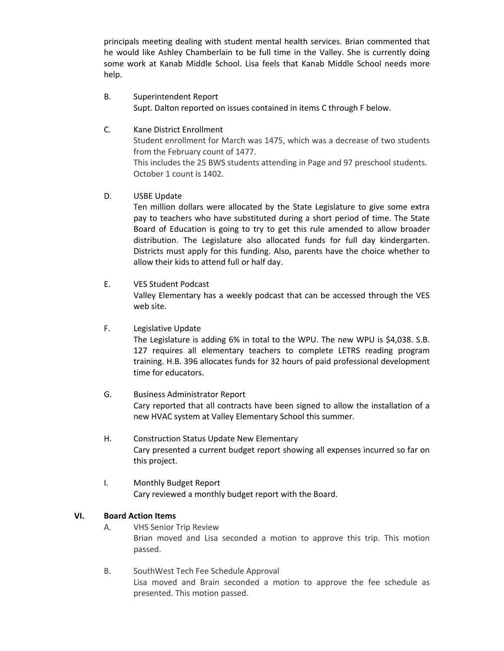principals meeting dealing with student mental health services. Brian commented that he would like Ashley Chamberlain to be full time in the Valley. She is currently doing some work at Kanab Middle School. Lisa feels that Kanab Middle School needs more help.

### B. Superintendent Report Supt. Dalton reported on issues contained in items C through F below.

### C. Kane District Enrollment

Student enrollment for March was 1475, which was a decrease of two students from the February count of 1477.

This includes the 25 BWS students attending in Page and 97 preschool students. October 1 count is 1402.

### D. USBE Update

Ten million dollars were allocated by the State Legislature to give some extra pay to teachers who have substituted during a short period of time. The State Board of Education is going to try to get this rule amended to allow broader distribution. The Legislature also allocated funds for full day kindergarten. Districts must apply for this funding. Also, parents have the choice whether to allow their kids to attend full or half day.

### E. VES Student Podcast

Valley Elementary has a weekly podcast that can be accessed through the VES web site.

### F. Legislative Update

The Legislature is adding 6% in total to the WPU. The new WPU is \$4,038. S.B. 127 requires all elementary teachers to complete LETRS reading program training. H.B. 396 allocates funds for 32 hours of paid professional development time for educators.

# G. Business Administrator Report Cary reported that all contracts have been signed to allow the installation of a new HVAC system at Valley Elementary School this summer.

- H. Construction Status Update New Elementary Cary presented a current budget report showing all expenses incurred so far on this project.
- I. Monthly Budget Report Cary reviewed a monthly budget report with the Board.

### **VI. Board Action Items**

- A. VHS Senior Trip Review Brian moved and Lisa seconded a motion to approve this trip. This motion passed.
- B. SouthWest Tech Fee Schedule Approval Lisa moved and Brain seconded a motion to approve the fee schedule as presented. This motion passed.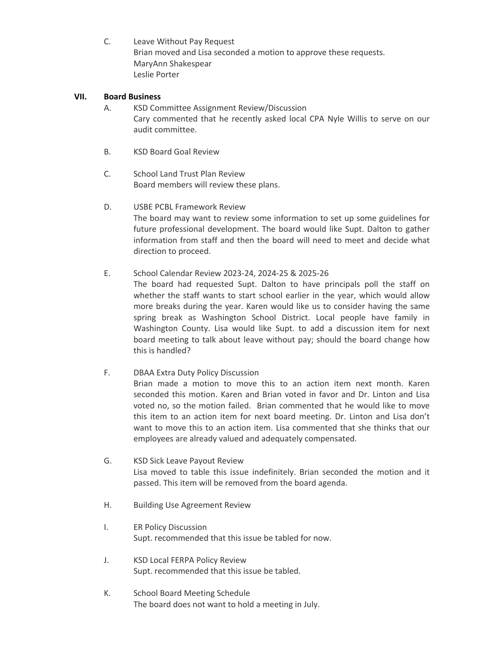C. Leave Without Pay Request Brian moved and Lisa seconded a motion to approve these requests. MaryAnn Shakespear Leslie Porter

### **VII. Board Business**

- A. KSD Committee Assignment Review/Discussion Cary commented that he recently asked local CPA Nyle Willis to serve on our audit committee.
- B. KSD Board Goal Review
- C. School Land Trust Plan Review Board members will review these plans.
- D. USBE PCBL Framework Review The board may want to review some information to set up some guidelines for future professional development. The board would like Supt. Dalton to gather information from staff and then the board will need to meet and decide what direction to proceed.
- E. School Calendar Review 2023-24, 2024-25 & 2025-26 The board had requested Supt. Dalton to have principals poll the staff on

whether the staff wants to start school earlier in the year, which would allow more breaks during the year. Karen would like us to consider having the same spring break as Washington School District. Local people have family in Washington County. Lisa would like Supt. to add a discussion item for next board meeting to talk about leave without pay; should the board change how this is handled?

F. DBAA Extra Duty Policy Discussion

Brian made a motion to move this to an action item next month. Karen seconded this motion. Karen and Brian voted in favor and Dr. Linton and Lisa voted no, so the motion failed. Brian commented that he would like to move this item to an action item for next board meeting. Dr. Linton and Lisa don't want to move this to an action item. Lisa commented that she thinks that our employees are already valued and adequately compensated.

- G. KSD Sick Leave Payout Review Lisa moved to table this issue indefinitely. Brian seconded the motion and it passed. This item will be removed from the board agenda.
- H. Building Use Agreement Review
- I. ER Policy Discussion Supt. recommended that this issue be tabled for now.
- J. KSD Local FERPA Policy Review Supt. recommended that this issue be tabled.
- K. School Board Meeting Schedule The board does not want to hold a meeting in July.